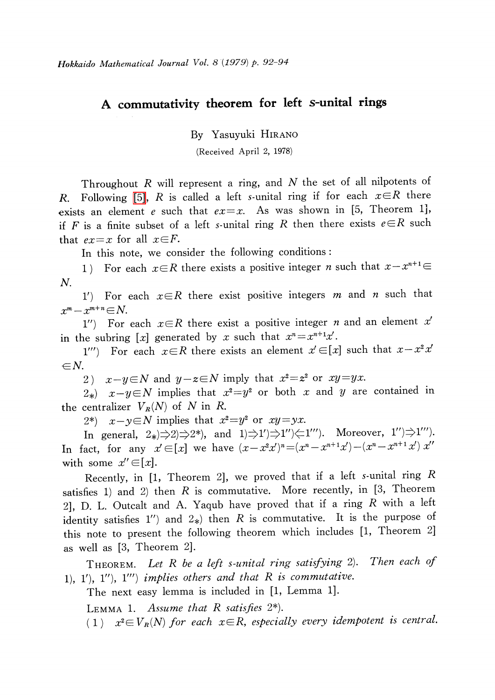## A commutativity theorem for left s-unital rings

By Yasuyuki HIRANO

(Received April 2, 1978)

Throughout  $R$  will represent a ring, and  $N$  the set of all nilpotents of R. Following [\[5\],](#page-2-0) R is called a left s-unital ring if for each  $x\in R$  there exists an element e such that  $ex=x$ . As was shown in [5, Theorem 1], if F is a finite subset of a left s-unital ring R then there exists  $e\in R$  such that  $ex=x$  for all  $x\in F$ .

In this note, we consider the following conditions:

1) For each  $x\in R$  there exists a positive integer n such that  $x-x^{n+1}\in R$ N.

1) For each  $x\in R$  there exist positive integers m and n such that  $x^{m}-x^{m+n}\in N.$ 

1") For each  $x\in R$  there exist a positive integer n and an element x' in the subring [x] generated by x such that  $x^{n}=x^{n+1}x'$ .

1"') For each  $x\in R$  there exists an element  $x'\in[x]$  such that  $x-x^{2}x'$  $\in N$ .

2)  $x-y\in N$  and  $y-z\in N$  imply that  $x^{2}=z^{2}$  or  $xy=yx$ .

 $2*)$   $x-y\in N$  implies that  $x^{2}=y^{2}$  or both x and y are contained in the centralizer  $V_{R}(N)$  of N in R.

2\*)  $x-y\in N$  implies that  $x^{2}=y^{2}$  or  $xy=yx$ .

In general,  $2 \ast$   $\Rightarrow$   $2 \Rightarrow$   $\Rightarrow$   $2^*$ ), and  $1 \Rightarrow$   $1'$   $\Rightarrow$   $1''$   $\Rightarrow$   $1''$  ). Moreover,  $1''$   $\Rightarrow$   $1'''$ . In fact, for any  $x' \in [x]$  we have  $(x-x^{2}x')^{n}=(x^{n}-x^{n+1}x')-(x^{n}-x^{n+1}x')x''$ with some  $x' \in [x]$ .

Recently, in [1, Theorem 2], we proved that if <sup>a</sup> left s-unital ring R satisfies 1) and 2) then  $R$  is commutative. More recently, in [3, Theorem 2], D. L. Outcalt and A. Yaqub have proved that if a ring R with a left identity satisfies 1") and  $2*$ ) then R is commutative. It is the purpose of this note to present the following theorem which includes [1, Theorem 2] as well as [3, Theorem 2].

THEOREM. Let R be a left s-unital ring satisfying 2). Then each of 1), 1'), 1''), 1''') implies others and that  $R$  is commutative.

The next easy lemma is included in [1, Lemma 1].

LEMMA 1. Assume that R satisfies  $2^{*}$ ).

(1)  $x^{2} \in V_{R}(N)$  for each  $x \in R$ , especially every idempotent is central.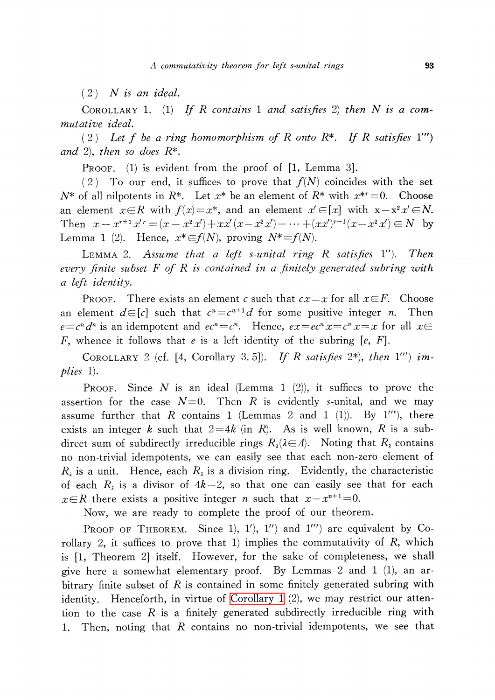<span id="page-1-0"></span> $(2)$  N is an ideal.

COROLLARY 1. (1) If R contains 1 and satisfies 2) then N is a commutative ideal.

(2) Let f be a ring homomorphism of R onto R<sup>\*</sup>. If R satisfies 1''')<br>
2) then so does R<sup>\*</sup> and 2), then so does  $R^*$ .

PROOF. (1) is evident from the proof of [1, Lemma 3].

(2) To our end, it suffices to prove that  $f(N)$  coincides with the set  $N^{*}$  of all nilpotents in  $R^{*}$ . Let  $x^{*}$  be an element of  $R^{*}$  with  $x^{*r}=0$ . Choose an element  $x\in R$  with  $f(x)=x^{*}$ , and an element  $x'\in[x]$  with  $x-x^{2}x'\in N$ . Then  $x-x^{r+1}x^{\prime}=(x-x^{2}x')+xx'(x-x^{2}x')+ \cdots+(xx')^{r-1}(x-x^{2}x')\in N$  by Lemma 1 (2). Hence,  $x^{*} \in f(N)$ , proving  $N^{*}=f(N)$ .

LEMMA 2. Assume that a left s-unital ring R satisfies  $1$ "). Then every finite subset  $F$  of  $R$  is contained in a finitely generated subring with a left identity.

PROOF. There exists an element c such that  $cx=x$  for all  $x\in F$ . Choose an element  $d\in[c]$  such that  $c^{n}=c^{n+1}d$  for some positive integer n. Then  $e=c^{n}d^{n}$  is an idempotent and  $ec^{n}=c^{n}$ . Hence,  $ex=ec^{n}x=c^{n}x=x$  for all  $x\in$ F, whence it follows that e is a left identity of the subring  $[e, F]$ .

COROLLARY 2 (cf. [4, Corollary 3.5]). If R satisfies  $2^{*}$ ), then 1''') implies 1).

PROOF. Since N is an ideal (Lemma 1  $(2)$ ), it suffices to prove the assertion for the case  $N=0$ . Then R is evidently s-unital, and we may assume further that R contains 1 (Lemmas 2 and 1 (1)). By 1'''), there exists an integer k such that  $2=4k$  (in R). As is well known, R is a subdirect sum of subdirectly irreducible rings  $R_{\lambda}(\lambda\!\in\!\varLambda)$ . Noting that  $R_{\lambda}$  contains no non-trivial idempotents, we can easily see that each non-zero element of  $R_{\lambda}$  is a unit. Hence, each  $R_{\lambda}$  is a division ring. Evidently, the characteristic of each  $R_{\lambda}$  is a divisor of  $4k-2$ , so that one can easily see that for each  $x\in R$  there exists a positive integer *n* such that  $x-x^{n+1}=0$ .

Now, we are ready to complete the proof of our theorem.

PROOF OF THEOREM. Since 1), 1'), 1") and 1"') are equivalent by Corollary 2, it suffices to prove that 1) implies the commutativity of  $R$ , which is [1, Theorem 2] itself. However, for the sake of completeness, we shall give here a somewhat elementary proof. By Lemmas 2 and <sup>1</sup> (1), an arbitrary finite subset of R is contained in some finitely generated subring with identity. Henceforth, in virtue of [Corollary](#page-1-0) <sup>1</sup> (2), we may restrict our attention to the case  $R$  is a finitely generated subdirectly irreducible ring with 1. Then, noting that  $R$  contains no non-trivial idempotents, we see that